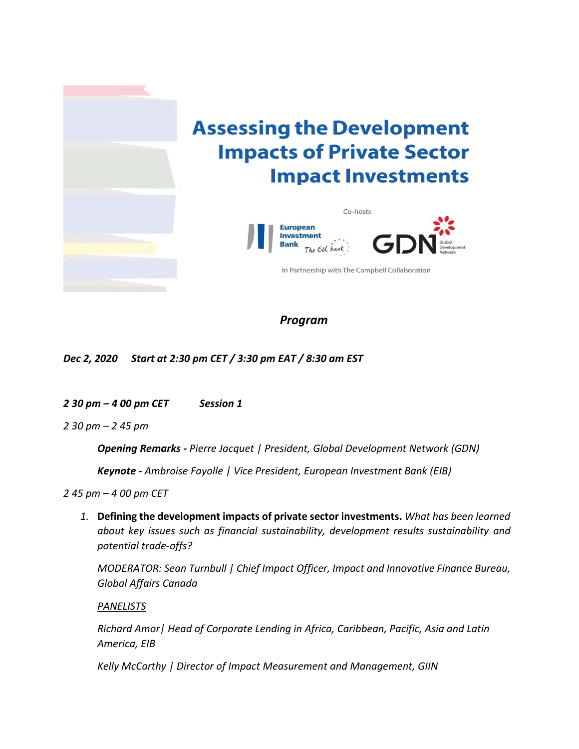

*Program* 

*Dec 2, 2020 Start at 2:30 pm CET / 3:30 pm EAT / 8:30 am EST*

*2 30 pm – 4 00 pm CET Session 1*

*2 30 pm – 2 45 pm* 

*Opening Remarks - Pierre Jacquet | President, Global Development Network (GDN)* 

*Keynote - Ambroise Fayolle | Vice President, European Investment Bank (EIB)*

*2 45 pm – 4 00 pm CET*

*1.* **Defining the development impacts of private sector investments.** *What has been learned about key issues such as financial sustainability, development results sustainability and potential trade-offs?* 

*MODERATOR: Sean Turnbull | Chief Impact Officer, Impact and Innovative Finance Bureau, Global Affairs Canada*

*PANELISTS*

*Richard Amor| Head of Corporate Lending in Africa, Caribbean, Pacific, Asia and Latin America, EIB*

*Kelly McCarthy | Director of Impact Measurement and Management, GIIN*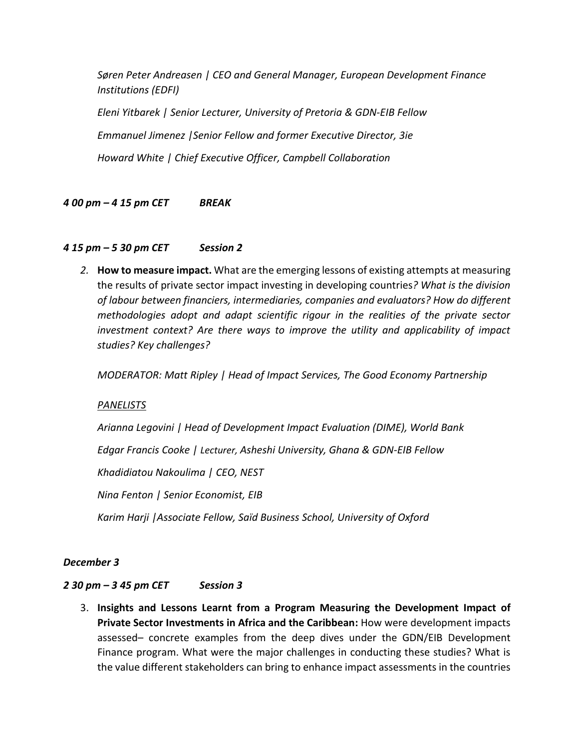*Søren Peter Andreasen | CEO and General Manager, European Development Finance Institutions (EDFI)*

*Eleni Yitbarek | Senior Lecturer, University of Pretoria & GDN-EIB Fellow Emmanuel Jimenez |Senior Fellow and former Executive Director, 3ie Howard White | Chief Executive Officer, Campbell Collaboration* 

# *4 00 pm – 4 15 pm CET BREAK*

### *4 15 pm – 5 30 pm CET Session 2*

*2.* **How to measure impact.** What are the emerging lessons of existing attempts at measuring the results of private sector impact investing in developing countries*? What is the division of labour between financiers, intermediaries, companies and evaluators? How do different methodologies adopt and adapt scientific rigour in the realities of the private sector investment context? Are there ways to improve the utility and applicability of impact studies? Key challenges?* 

*MODERATOR: Matt Ripley | Head of Impact Services, The Good Economy Partnership* 

### *PANELISTS*

*Arianna Legovini | Head of Development Impact Evaluation (DIME), World Bank* 

*Edgar Francis Cooke | Lecturer, Asheshi University, Ghana & GDN-EIB Fellow*

*Khadidiatou Nakoulima | CEO, NEST* 

*Nina Fenton | Senior Economist, EIB* 

*Karim Harji |Associate Fellow, Saïd Business School, University of Oxford* 

### *December 3*

### *2 30 pm – 3 45 pm CET Session 3*

3. **Insights and Lessons Learnt from a Program Measuring the Development Impact of Private Sector Investments in Africa and the Caribbean:** How were development impacts assessed– concrete examples from the deep dives under the GDN/EIB Development Finance program. What were the major challenges in conducting these studies? What is the value different stakeholders can bring to enhance impact assessments in the countries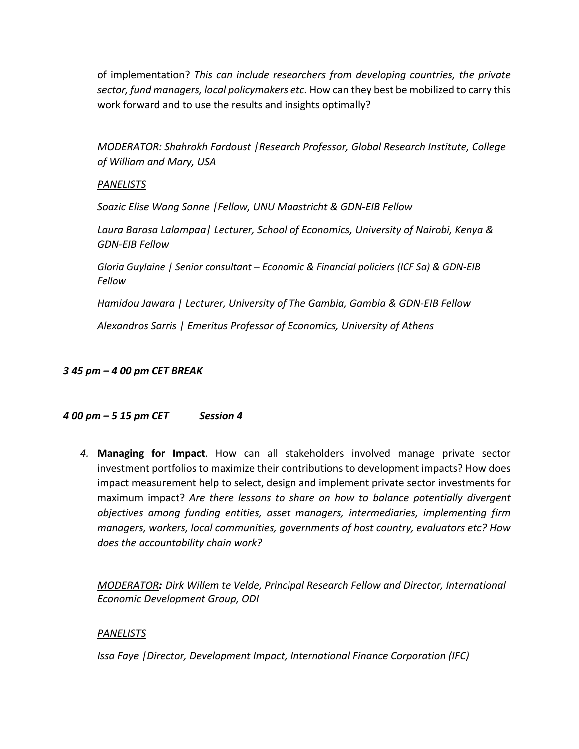of implementation? *This can include researchers from developing countries, the private sector, fund managers, local policymakers etc.* How can they best be mobilized to carry this work forward and to use the results and insights optimally?

*MODERATOR: Shahrokh Fardoust |Research Professor, Global Research Institute, College of William and Mary, USA*

### *PANELISTS*

*Soazic Elise Wang Sonne |Fellow, UNU Maastricht & GDN-EIB Fellow*

*Laura Barasa Lalampaa| Lecturer, School of Economics, University of Nairobi, Kenya & GDN-EIB Fellow*

*Gloria Guylaine | Senior consultant – Economic & Financial policiers (ICF Sa) & GDN-EIB Fellow* 

*Hamidou Jawara | Lecturer, University of The Gambia, Gambia & GDN-EIB Fellow*

*Alexandros Sarris | Emeritus Professor of Economics, University of Athens* 

### *3 45 pm – 4 00 pm CET BREAK*

### *4 00 pm – 5 15 pm CET Session 4*

*4.* **Managing for Impact**. How can all stakeholders involved manage private sector investment portfolios to maximize their contributions to development impacts? How does impact measurement help to select, design and implement private sector investments for maximum impact? *Are there lessons to share on how to balance potentially divergent objectives among funding entities, asset managers, intermediaries, implementing firm managers, workers, local communities, governments of host country, evaluators etc? How does the accountability chain work?* 

*MODERATOR: Dirk Willem te Velde, Principal Research Fellow and Director, International Economic Development Group, ODI*

### *PANELISTS*

*Issa Faye |Director, Development Impact, International Finance Corporation (IFC)*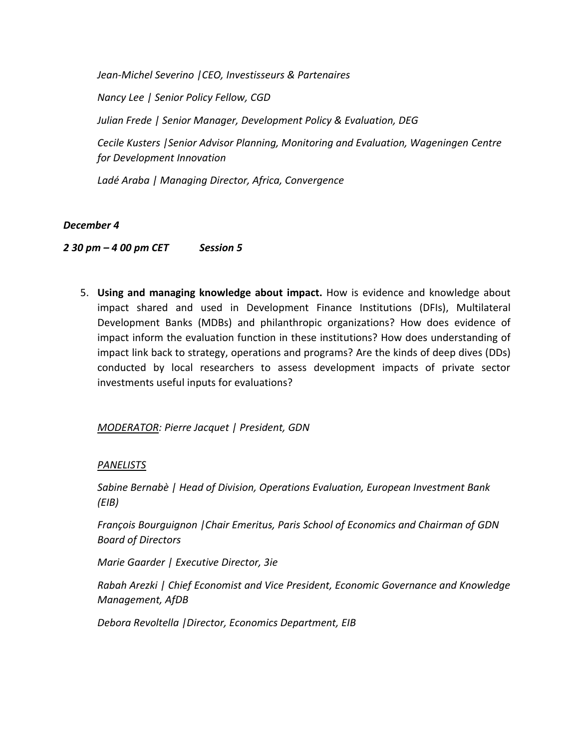*Jean-Michel Severino |CEO, Investisseurs & Partenaires [Nancy Lee](https://www.cgdev.org/expert/nancy-lee) | Senior Policy Fellow, CGD Julian Frede | Senior Manager, Development Policy & Evaluation, DEG Cecile Kusters |Senior Advisor Planning, Monitoring and Evaluation, Wageningen Centre for Development Innovation*

*[Ladé Araba](https://www.convergence.finance/about/team/5qoY2w7CUMeyE4wgAioiW2) | Managing Director, Africa, Convergence*

# *December 4*

*2 30 pm – 4 00 pm CET Session 5*

5. **Using and managing knowledge about impact.** How is evidence and knowledge about impact shared and used in Development Finance Institutions (DFIs), Multilateral Development Banks (MDBs) and philanthropic organizations? How does evidence of impact inform the evaluation function in these institutions? How does understanding of impact link back to strategy, operations and programs? Are the kinds of deep dives (DDs) conducted by local researchers to assess development impacts of private sector investments useful inputs for evaluations?

*MODERATOR: Pierre Jacquet | President, GDN* 

### *PANELISTS*

*Sabine Bernabè | Head of Division, Operations Evaluation, European Investment Bank (EIB)* 

*François Bourguignon |Chair Emeritus, Paris School of Economics and Chairman of GDN Board of Directors* 

*Marie Gaarder | Executive Director, 3ie*

*Rabah Arezki | Chief Economist and Vice President, Economic Governance and Knowledge Management, AfDB*

*Debora Revoltella |Director, Economics Department, EIB*